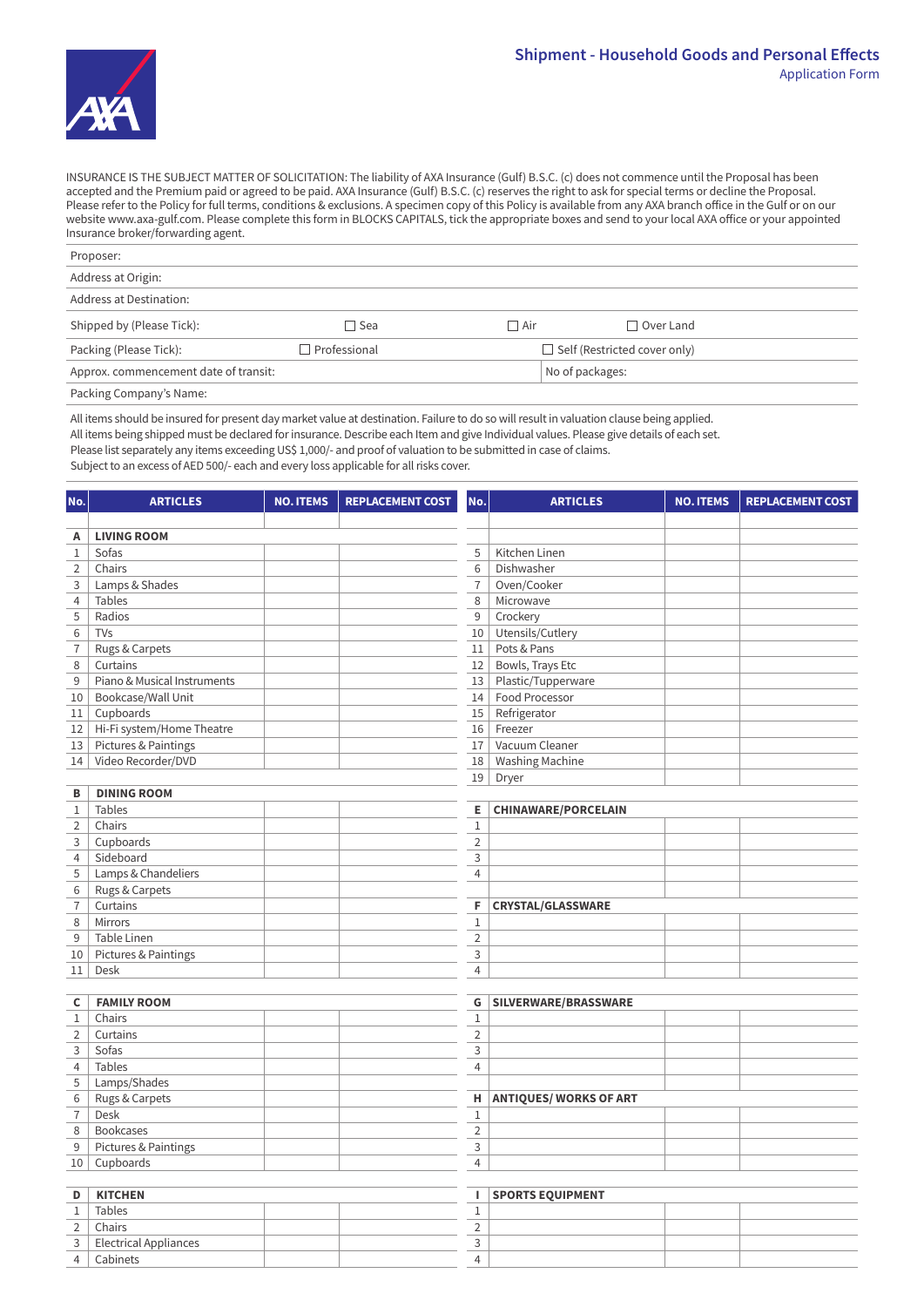

INSURANCE IS THE SUBJECT MATTER OF SOLICITATION: The liability of AXA Insurance (Gulf) B.S.C. (c) does not commence until the Proposal has been accepted and the Premium paid or agreed to be paid. AXA Insurance (Gulf) B.S.C. (c) reserves the right to ask for special terms or decline the Proposal. Please refer to the Policy for full terms, conditions & exclusions. A specimen copy of this Policy is available from any AXA branch office in the Gulf or on our website www.axa-gulf.com. Please complete this form in BLOCKS CAPITALS, tick the appropriate boxes and send to your local AXA office or your appointed Insurance broker/forwarding agent.

| Proposer:                             |              |                 |                                     |
|---------------------------------------|--------------|-----------------|-------------------------------------|
| Address at Origin:                    |              |                 |                                     |
| Address at Destination:               |              |                 |                                     |
| Shipped by (Please Tick):             | $\Box$ Sea   | │ Air           | $\Box$ Over Land                    |
| Packing (Please Tick):                | Professional |                 | $\Box$ Self (Restricted cover only) |
| Approx. commencement date of transit: |              | No of packages: |                                     |
| Packing Company's Name:               |              |                 |                                     |

All items should be insured for present day market value at destination. Failure to do so will result in valuation clause being applied. All items being shipped must be declared for insurance. Describe each Item and give Individual values. Please give details of each set.

Please list separately any items exceeding US\$ 1,000/- and proof of valuation to be submitted in case of claims.

Subject to an excess of AED 500/- each and every loss applicable for all risks cover.

| No.              | <b>ARTICLES</b>                 | <b>NO. ITEMS</b> | <b>REPLACEMENT COST</b> | No.            | <b>ARTICLES</b>            | <b>NO. ITEMS</b> | <b>REPLACEMENT COST</b> |
|------------------|---------------------------------|------------------|-------------------------|----------------|----------------------------|------------------|-------------------------|
| Α                | <b>LIVING ROOM</b>              |                  |                         |                |                            |                  |                         |
| $\mathbf{1}$     | Sofas                           |                  |                         | 5              | Kitchen Linen              |                  |                         |
| $\overline{2}$   | Chairs                          |                  |                         | 6              | Dishwasher                 |                  |                         |
| 3                | Lamps & Shades                  |                  |                         | $\overline{7}$ | Oven/Cooker                |                  |                         |
| $\overline{4}$   | Tables                          |                  |                         | 8              | Microwave                  |                  |                         |
| 5                | Radios                          |                  |                         | 9              | Crockery                   |                  |                         |
| 6                | TVs                             |                  |                         |                | 10 Utensils/Cutlery        |                  |                         |
|                  |                                 |                  |                         |                | 11 Pots & Pans             |                  |                         |
| $\boldsymbol{7}$ | Rugs & Carpets                  |                  |                         |                |                            |                  |                         |
| 8                | Curtains                        |                  |                         | 12             | Bowls, Trays Etc           |                  |                         |
| 9                | Piano & Musical Instruments     |                  |                         |                | 13 Plastic/Tupperware      |                  |                         |
| 10               | Bookcase/Wall Unit              |                  |                         |                | 14 Food Processor          |                  |                         |
| 11               | Cupboards                       |                  |                         | 15             | Refrigerator               |                  |                         |
| 12               | Hi-Fi system/Home Theatre       |                  |                         |                | 16 Freezer                 |                  |                         |
| $13\,$           | Pictures & Paintings            |                  |                         |                | 17 Vacuum Cleaner          |                  |                         |
| 14               | Video Recorder/DVD              |                  |                         |                | 18   Washing Machine       |                  |                         |
|                  |                                 |                  |                         |                | 19 Dryer                   |                  |                         |
| в                | <b>DINING ROOM</b>              |                  |                         |                |                            |                  |                         |
| $\mathbf{1}$     | Tables                          |                  |                         | E.             | <b>CHINAWARE/PORCELAIN</b> |                  |                         |
| $\overline{2}$   | Chairs                          |                  |                         | $\mathbf{1}$   |                            |                  |                         |
| 3                | Cupboards                       |                  |                         | $\overline{2}$ |                            |                  |                         |
| $\overline{4}$   | Sideboard                       |                  |                         | $\mathsf{3}$   |                            |                  |                         |
| 5                | Lamps & Chandeliers             |                  |                         | $\overline{4}$ |                            |                  |                         |
| 6                | Rugs & Carpets                  |                  |                         |                |                            |                  |                         |
| $\overline{7}$   | Curtains                        |                  |                         | F.             | <b>CRYSTAL/GLASSWARE</b>   |                  |                         |
| 8                | Mirrors                         |                  |                         | $1\,$          |                            |                  |                         |
| 9                | Table Linen                     |                  |                         | $\overline{2}$ |                            |                  |                         |
| 10               | Pictures & Paintings            |                  |                         | 3              |                            |                  |                         |
| 11               | Desk                            |                  |                         | $\overline{4}$ |                            |                  |                         |
|                  |                                 |                  |                         |                |                            |                  |                         |
| C                | <b>FAMILY ROOM</b>              |                  |                         |                | G SILVERWARE/BRASSWARE     |                  |                         |
| $\mathbf{1}$     | Chairs                          |                  |                         | $\mathbf{1}$   |                            |                  |                         |
| $\overline{2}$   | Curtains                        |                  |                         | $\overline{2}$ |                            |                  |                         |
| 3                | Sofas                           |                  |                         | 3              |                            |                  |                         |
| $\overline{4}$   | Tables                          |                  |                         | $\overline{4}$ |                            |                  |                         |
| 5                | Lamps/Shades                    |                  |                         |                |                            |                  |                         |
| 6                | Rugs & Carpets                  |                  |                         |                | H ANTIQUES/ WORKS OF ART   |                  |                         |
| $\overline{7}$   | Desk                            |                  |                         | $1\,$          |                            |                  |                         |
| $\,8\,$          | Bookcases                       |                  |                         | $\overline{2}$ |                            |                  |                         |
| 9                | <b>Pictures &amp; Paintings</b> |                  |                         | 3              |                            |                  |                         |
| 10               | Cupboards                       |                  |                         | $\overline{4}$ |                            |                  |                         |
|                  |                                 |                  |                         |                |                            |                  |                         |
| D                | <b>KITCHEN</b>                  |                  |                         | $\mathbf{L}$   | <b>SPORTS EQUIPMENT</b>    |                  |                         |
| $\mathbf{1}$     | Tables                          |                  |                         | $\mathbf 1$    |                            |                  |                         |
| $\overline{2}$   | Chairs                          |                  |                         | $\overline{2}$ |                            |                  |                         |
| 3                | <b>Electrical Appliances</b>    |                  |                         | 3              |                            |                  |                         |
| $\overline{4}$   | Cabinets                        |                  |                         | $\overline{4}$ |                            |                  |                         |